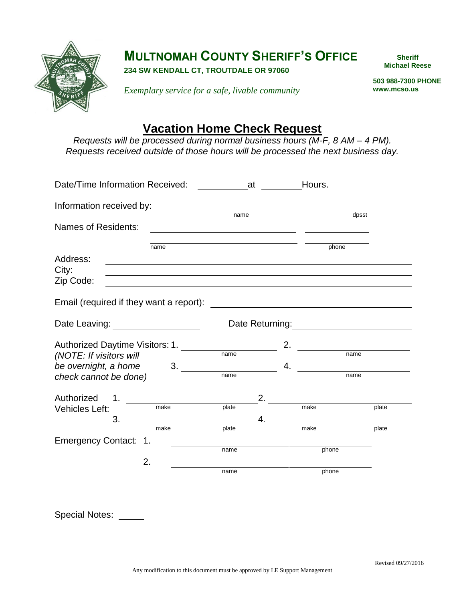

## **MULTNOMAH COUNTY SHERIFF'S OFFICE**

**234 SW KENDALL CT, TROUTDALE OR 97060**

**Sheriff Michael Reese**

*Exemplary service for a safe, livable community*

 **503 988-7300 PHONE www.mcso.us**

## **Vacation Home Check Request**

*Requests will be processed during normal business hours (M-F, 8 AM – 4 PM). Requests received outside of those hours will be processed the next business day.*

| Date/Time Information Received:                                                                                                   | $\frac{1}{\sqrt{1-\frac{1}{2}}}\frac{1}{\sqrt{1-\frac{1}{2}}}\frac{1}{\sqrt{1-\frac{1}{2}}}\frac{1}{\sqrt{1-\frac{1}{2}}}\frac{1}{\sqrt{1-\frac{1}{2}}}\frac{1}{\sqrt{1-\frac{1}{2}}}\frac{1}{\sqrt{1-\frac{1}{2}}}\frac{1}{\sqrt{1-\frac{1}{2}}}\frac{1}{\sqrt{1-\frac{1}{2}}}\frac{1}{\sqrt{1-\frac{1}{2}}}\frac{1}{\sqrt{1-\frac{1}{2}}}\frac{1}{\sqrt{1-\frac{1}{2}}}\frac{1}{\sqrt{1-\frac{1}{2}}}\frac{1}{\sqrt{1-\frac{$ |    | Hours. |       |  |
|-----------------------------------------------------------------------------------------------------------------------------------|---------------------------------------------------------------------------------------------------------------------------------------------------------------------------------------------------------------------------------------------------------------------------------------------------------------------------------------------------------------------------------------------------------------------------------|----|--------|-------|--|
| Information received by:                                                                                                          |                                                                                                                                                                                                                                                                                                                                                                                                                                 |    |        |       |  |
|                                                                                                                                   | name                                                                                                                                                                                                                                                                                                                                                                                                                            |    | dpsst  |       |  |
| Names of Residents:                                                                                                               |                                                                                                                                                                                                                                                                                                                                                                                                                                 |    |        |       |  |
| name                                                                                                                              |                                                                                                                                                                                                                                                                                                                                                                                                                                 |    | phone  |       |  |
| Address:<br><u> 1989 - Johann Stoff, deutscher Stoff, der Stoff, der Stoff, der Stoff, der Stoff, der Stoff, der Stoff, der S</u> |                                                                                                                                                                                                                                                                                                                                                                                                                                 |    |        |       |  |
| City:<br><u> 1980 - Andrea Barbara, amerikan personal (h. 1980).</u>                                                              |                                                                                                                                                                                                                                                                                                                                                                                                                                 |    |        |       |  |
| Zip Code:                                                                                                                         |                                                                                                                                                                                                                                                                                                                                                                                                                                 |    |        |       |  |
| Email (required if they want a report):                                                                                           |                                                                                                                                                                                                                                                                                                                                                                                                                                 |    |        |       |  |
| Date Leaving: ___________________                                                                                                 |                                                                                                                                                                                                                                                                                                                                                                                                                                 |    |        |       |  |
|                                                                                                                                   |                                                                                                                                                                                                                                                                                                                                                                                                                                 |    |        |       |  |
| Authorized Daytime Visitors: 1.                                                                                                   |                                                                                                                                                                                                                                                                                                                                                                                                                                 | 2. |        |       |  |
| (NOTE: If visitors will                                                                                                           | name                                                                                                                                                                                                                                                                                                                                                                                                                            |    | name   |       |  |
| be overnight, a home<br>3.                                                                                                        |                                                                                                                                                                                                                                                                                                                                                                                                                                 | 4. |        |       |  |
| check cannot be done)                                                                                                             | name                                                                                                                                                                                                                                                                                                                                                                                                                            |    |        | name  |  |
| Authorized<br>$\mathbf{1}$ .                                                                                                      |                                                                                                                                                                                                                                                                                                                                                                                                                                 | 2. |        |       |  |
| make<br>Vehicles Left:                                                                                                            | plate                                                                                                                                                                                                                                                                                                                                                                                                                           |    | make   | plate |  |
| 3.                                                                                                                                | 4.                                                                                                                                                                                                                                                                                                                                                                                                                              |    |        |       |  |
| make                                                                                                                              | plate                                                                                                                                                                                                                                                                                                                                                                                                                           |    | make   | plate |  |
| Emergency Contact: 1.                                                                                                             |                                                                                                                                                                                                                                                                                                                                                                                                                                 |    |        |       |  |
|                                                                                                                                   | name                                                                                                                                                                                                                                                                                                                                                                                                                            |    | phone  |       |  |
| 2.                                                                                                                                |                                                                                                                                                                                                                                                                                                                                                                                                                                 |    |        |       |  |
|                                                                                                                                   | name                                                                                                                                                                                                                                                                                                                                                                                                                            |    | phone  |       |  |
|                                                                                                                                   |                                                                                                                                                                                                                                                                                                                                                                                                                                 |    |        |       |  |

Special Notes: \_\_\_\_\_